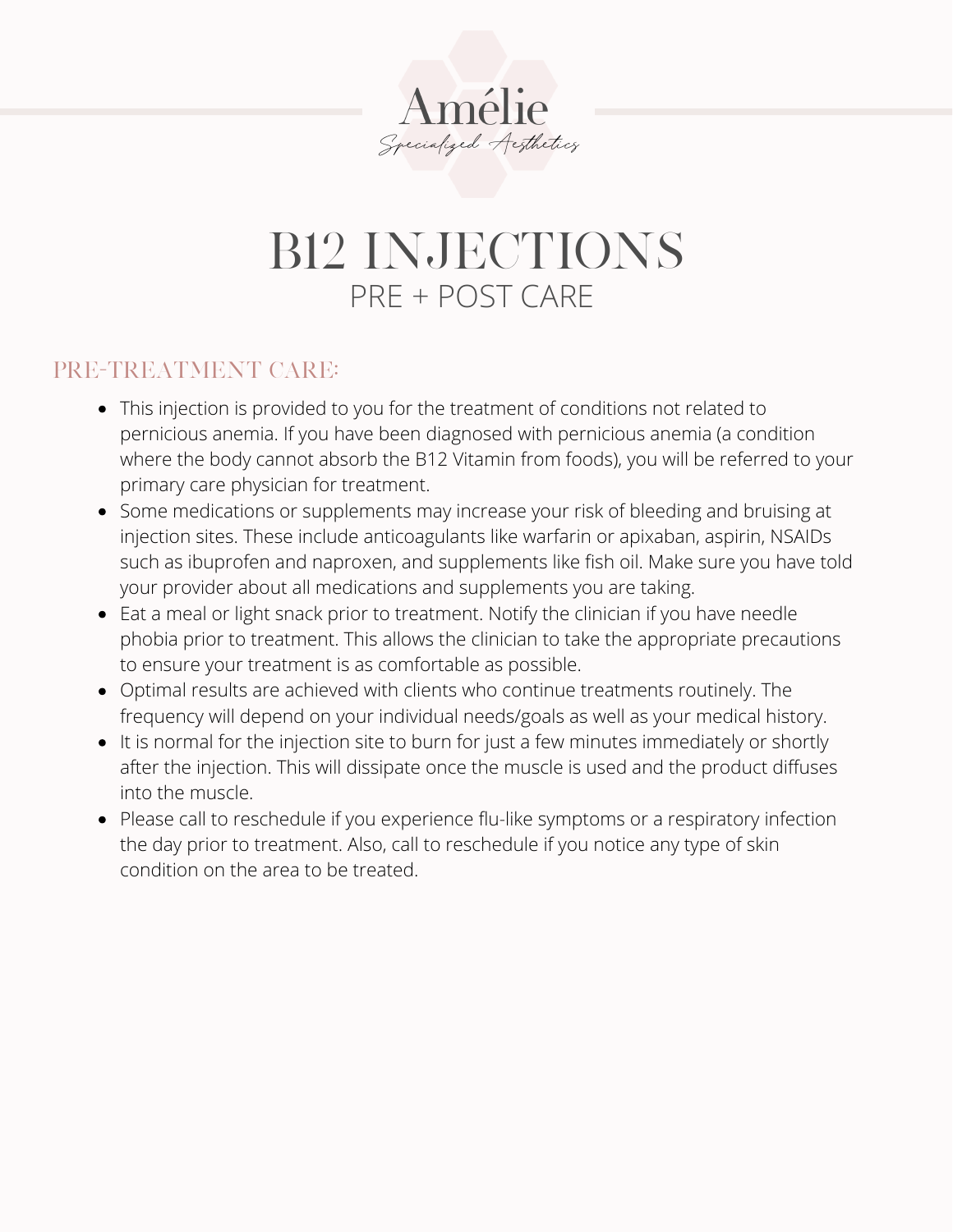

## B12 INJECTIONS PRE + POST CARE

## PRE-TREATMENT CARE:

- This injection is provided to you for the treatment of conditions not related to pernicious anemia. If you have been diagnosed with pernicious anemia (a condition where the body cannot absorb the B12 Vitamin from foods), you will be referred to your primary care physician for treatment.
- Some medications or supplements may increase your risk of bleeding and bruising at injection sites. These include anticoagulants like warfarin or apixaban, aspirin, NSAIDs such as ibuprofen and naproxen, and supplements like fish oil. Make sure you have told your provider about all medications and supplements you are taking.
- Eat a meal or light snack prior to treatment. Notify the clinician if you have needle phobia prior to treatment. This allows the clinician to take the appropriate precautions to ensure your treatment is as comfortable as possible.
- Optimal results are achieved with clients who continue treatments routinely. The frequency will depend on your individual needs/goals as well as your medical history.
- It is normal for the injection site to burn for just a few minutes immediately or shortly after the injection. This will dissipate once the muscle is used and the product diffuses into the muscle.
- Please call to reschedule if you experience flu-like symptoms or a respiratory infection the day prior to treatment. Also, call to reschedule if you notice any type of skin condition on the area to be treated.